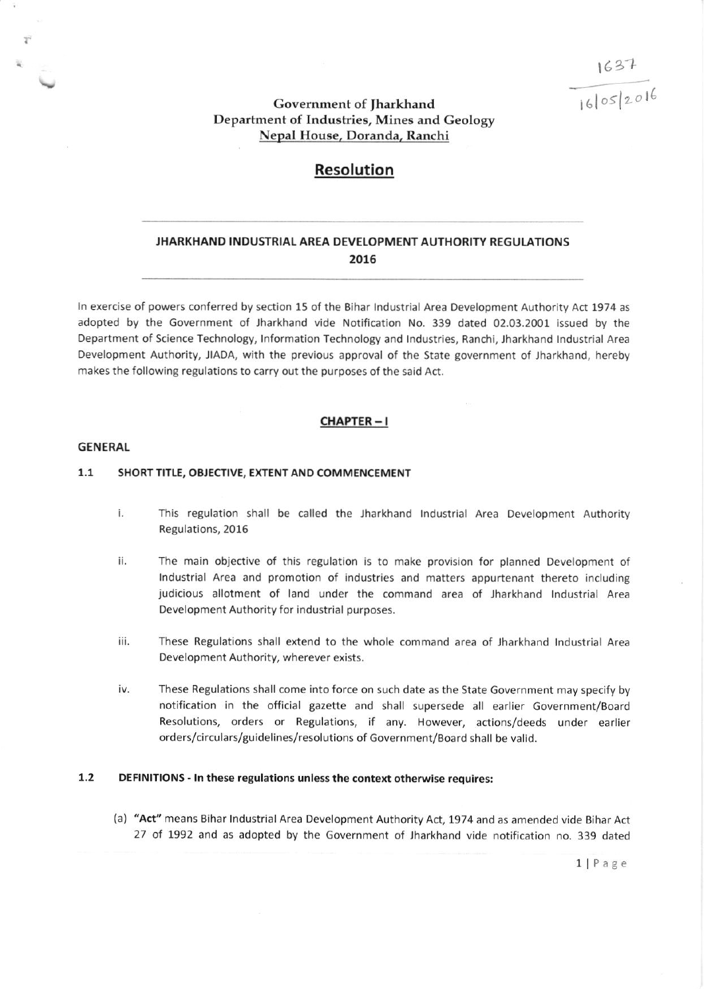$1631$  $160052016$ 

# Government of Jharkhand Department of Industries, Mines and Geology Nepal House, Doranda, Ranchi

# Resolution

# JHARKHAND INDUSTRIAL AREA DEVELOPMENT AUTHORITY REGULATIONS 2016

ln exercise of powers conferred by section 15 of the Eihar lndustrial Area Development Authority Act 1974 as adopted by the Government of lharkhand vide Notification No. 339 dated 02.03.2001 issued by the Department of Science Technology, lnformation Technology and lndustries, Ranchi, Jharkhand tndustrial Area Development Authority, JIADA, with the previous approval of the State government of lharkhand, hereby makes the following regulations to carry out the purposes of the said Act.

### CHAPTER- <sup>I</sup>

### GENERAL

### 1.1 SHORT TITLE, OBJECTIVE, EXTENT AND COMMENCEMENT

- i. This regulation shall be called the Jharkhand Industrial Area Development Authority Regulations,2016
- tl The main objective of this regulation is to make provision for planned Development of lndustrial Area and promotion of industries and matters appurtenant thereto including judicious allotment of land under the command erea of lharkhand tndustrial Area Development Authority for industrial purposes,
- iii. These Regulations shall extend to the whole command area of Jharkhand Industrial Area Development Authority, wherever exists.
- iv. These Regulations shall come into force on such date as the State Government may specify by notification in the official gazette and shall supersede all earlier Government/Board Resolutions, orders or Regulations, if any. However, actions/deeds under earlier orders/circulars/guidelines/resolutions of Government/Board shall be valid.

## 1.2 DEFINITIONS - In these regulations unless the context otherwise requires:

(a) "Act" means Bihar Industrial Area Development Authority Act, 1974 and as amended vide Bihar Act 27 of 1992 and as adopted by the Government of Jharkhand vide notification no. 339 dated

1 Page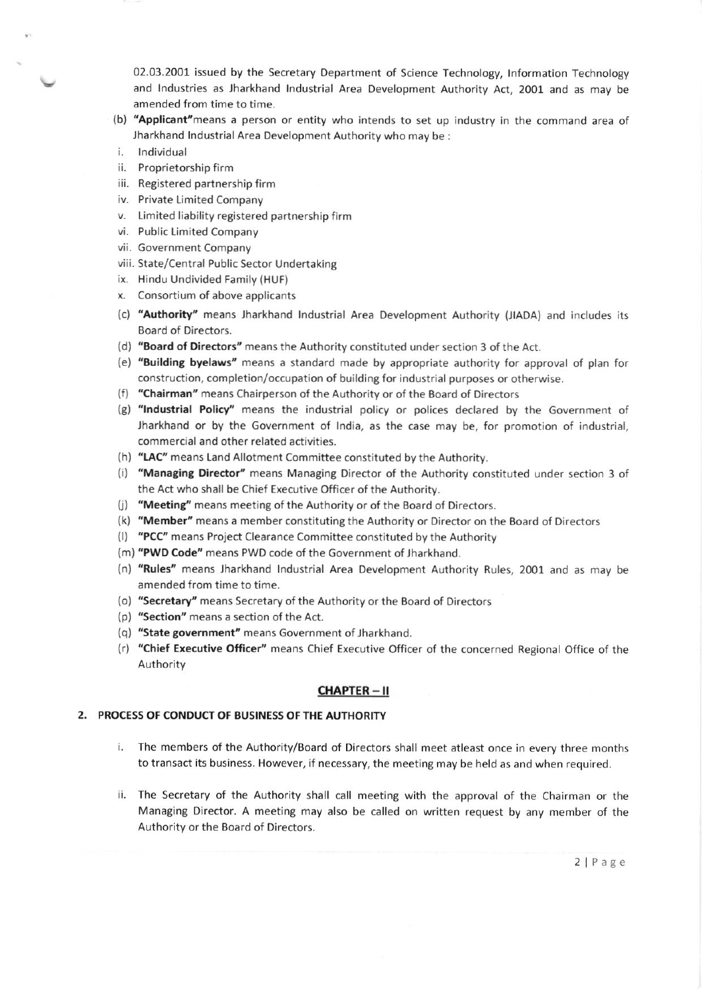02.03.2001 issued by the Secretary Department of Science Technology, Information Technology and Industries as Jharkhand Industrial Area Development Authority Act, 2001 and as may be amended from time to time.

- (b) "Applicant" means a person or entity who intends to set up industry in the command area of Jharkhand Industrial Area Development Authority who may be:
- Individual i.
- ii. Proprietorship firm
- iii. Registered partnership firm
- iv. Private Limited Company
- v. Limited liability registered partnership firm
- vi. Public Limited Company
- vii. Government Company
- viii. State/Central Public Sector Undertaking
- ix. Hindu Undivided Family (HUF)
- x. Consortium of above applicants
- (c) "Authority" means Jharkhand Industrial Area Development Authority (JIADA) and includes its Board of Directors.
- (d) "Board of Directors" means the Authority constituted under section 3 of the Act.
- (e) "Building byelaws" means a standard made by appropriate authority for approval of plan for construction, completion/occupation of building for industrial purposes or otherwise.
- (f) "Chairman" means Chairperson of the Authority or of the Board of Directors
- (g) "Industrial Policy" means the industrial policy or polices declared by the Government of Jharkhand or by the Government of India, as the case may be, for promotion of industrial, commercial and other related activities.
- (h) "LAC" means Land Allotment Committee constituted by the Authority.
- (i) "Managing Director" means Managing Director of the Authority constituted under section 3 of the Act who shall be Chief Executive Officer of the Authority.
- (j) "Meeting" means meeting of the Authority or of the Board of Directors.
- (k) "Member" means a member constituting the Authority or Director on the Board of Directors
- (I) "PCC" means Project Clearance Committee constituted by the Authority
- (m) "PWD Code" means PWD code of the Government of Jharkhand.
- (n) "Rules" means Jharkhand Industrial Area Development Authority Rules, 2001 and as may be amended from time to time.
- (o) "Secretary" means Secretary of the Authority or the Board of Directors
- (p) "Section" means a section of the Act.
- (q) "State government" means Government of Jharkhand.
- (r) "Chief Executive Officer" means Chief Executive Officer of the concerned Regional Office of the Authority

### **CHAPTER-II**

# 2. PROCESS OF CONDUCT OF BUSINESS OF THE AUTHORITY

- i. The members of the Authority/Board of Directors shall meet atleast once in every three months to transact its business. However, if necessary, the meeting may be held as and when required.
- ii. The Secretary of the Authority shall call meeting with the approval of the Chairman or the Managing Director. A meeting may also be called on written request by any member of the Authority or the Board of Directors.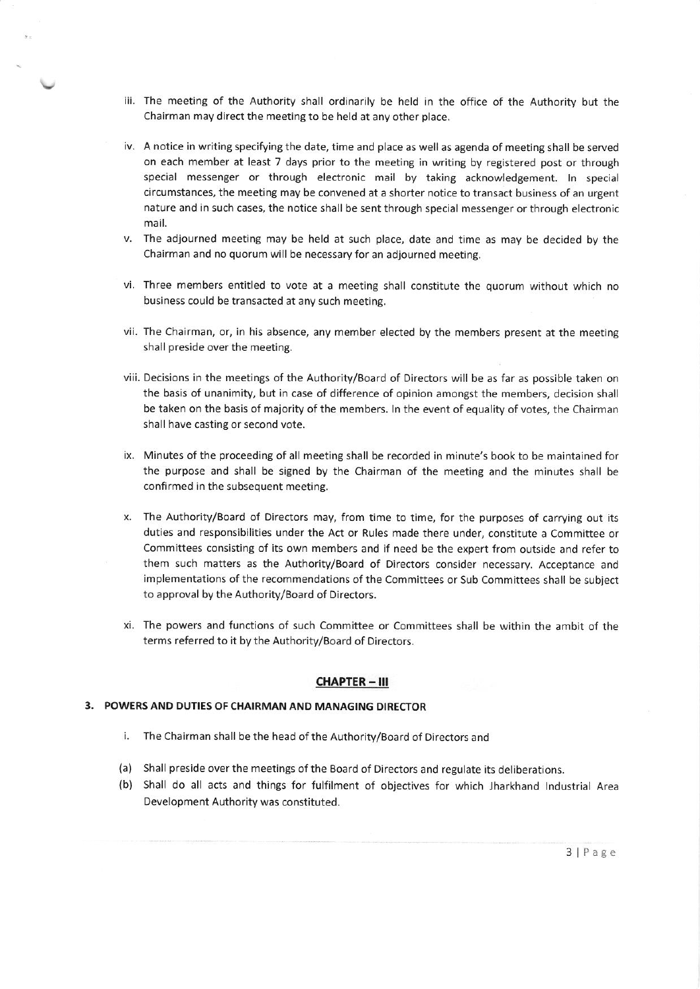- iii. The meeting of the Authority shall ordinarily be held in the office of the Authority but the Chairman may direct the meeting to be held at any other place.
- iv. A notice in writing specifying the date, time and place as well as agenda of meeting shall be served on each member at least 7 days prior to the meeting in writing by registered post or through special messenger or through electronic mail by taking acknowledgement. In special circumstances, the meeting may be convened at a shorter notice to transact business of an urgent nature and in such cases, the notice shall be sent through special messenger or through electronic mail.
- v. The adjourned meeting may be held at such place, date and time as may be decided by the Chairman and no quorum will be necessary for an adjourned meeting.
- vi. Three members entitled to vote at a meeting shall constitute the quorum without which no business could be transacted at any such meeting.
- vii. The Chairman, or, in his absence, any member elected by the members present at the meeting shall preside over the meeting.
- viii. Decisions in the meetings of the Authority/Board of Directors will be as far as possible taken on the basis of unanimity, but in case of difference of opinion amongst the members, decision shall be taken on the basis of majority of the members. In the event of equality of votes, the Chairman shall have casting or second vote.
- ix. Minutes of the proceeding of all meeting shall be recorded in minute's book to be maintained for the purpose and shall be signed by the Chairman of the meeting and the minutes shall be confirmed in the subsequent meeting.
- x. The Authority/Board of Oirectors may, from time to time, for the purposes of carrying out its duties and responsibilities under the Act or Rules made there under, constitute a Committee or Conrmittees consisting of its own members and if need be the expert from outside and refer to them such matters as the Authority/Board of Directors consider necessary. Acceptance and implementations of the recommendations of the Committees or Sub Committees shall be subject to approval by the Authority/Board of Directors.
- xi. The powers and functions of such Committee or Committees shall be within the ambit of the terms referred to it by the Authority/Board of Directors.

## CHAPTER - III

#### 3. POWERS AND DUTIES OF CHAIRMAN AND MANAGING DIRECTOR

- i. The Chairman shall be the head of the Authority/Board of Directors and
- (a) Shall preside over the meetings of the Board of Directors and regulate its deliberations
- {b) Shall do all acts and things for fulfilment of objectives for which jharkhand tndustrial Area Development Authority was constituted.